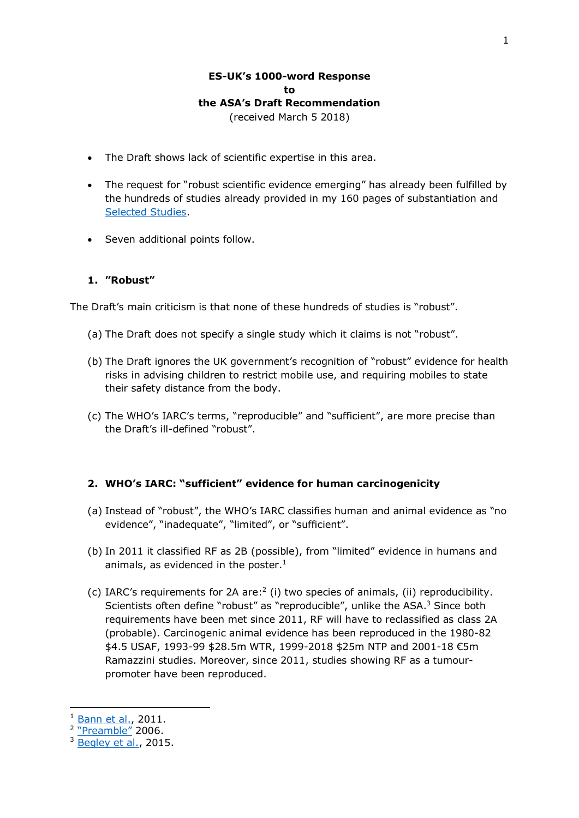# **ES-UK's 1000-word Response to the ASA's Draft Recommendation**

(received March 5 2018)

- The Draft shows lack of scientific expertise in this area.
- The request for "robust scientific evidence emerging" has already been fulfilled by the hundreds of studies already provided in my 160 pages of substantiation and [Selected Studies.](http://www.es-uk.info/attachments/article/85/Selected%20ES%20and%20EHS%20studies.pdf)
- Seven additional points follow.

# **1. "Robust"**

The Draft's main criticism is that none of these hundreds of studies is "robust".

- (a) The Draft does not specify a single study which it claims is not "robust".
- (b) The Draft ignores the UK government's recognition of "robust" evidence for health risks in advising children to restrict mobile use, and requiring mobiles to state their safety distance from the body.
- (c) The WHO's IARC's terms, "reproducible" and "sufficient", are more precise than the Draft's ill-defined "robust".

# **2. WHO's IARC: "sufficient" evidence for human carcinogenicity**

- (a) Instead of "robust", the WHO's IARC classifies human and animal evidence as "no evidence", "inadequate", "limited", or "sufficient".
- (b) In 2011 it classified RF as 2B (possible), from "limited" evidence in humans and animals, as evidenced in the poster. 1
- (c) IARC's requirements for 2A are:<sup>2</sup> (i) two species of animals, (ii) reproducibility. Scientists often define "robust" as "reproducible", unlike the ASA.<sup>3</sup> Since both requirements have been met since 2011, RF will have to reclassified as class 2A (probable). Carcinogenic animal evidence has been reproduced in the 1980-82 \$4.5 USAF, 1993-99 \$28.5m WTR, 1999-2018 \$25m NTP and 2001-18 €5m Ramazzini studies. Moreover, since 2011, studies showing RF as a tumourpromoter have been reproduced.

-

<sup>&</sup>lt;sup>1</sup> Bann [et al.,](http://www.thelancet.com/journals/lanonc/article/PIIS1470-2045(11)70147-4/fulltext) 2011.

<sup>&</sup>lt;sup>2</sup> ["Preamble"](http://monographs.iarc.fr/ENG/Preamble/currentb6evalrationale0706.php) 2006.

<sup>&</sup>lt;sup>3</sup> [Begley et al.,](https://www.nature.com/news/robust-research-institutions-must-do-their-part-for-reproducibility-1.18259) 2015.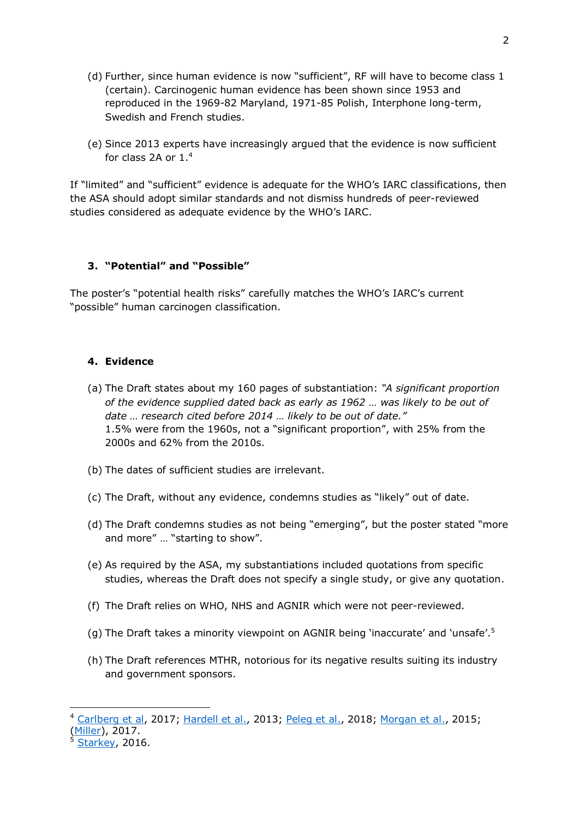- (d) Further, since human evidence is now "sufficient", RF will have to become class 1 (certain). Carcinogenic human evidence has been shown since 1953 and reproduced in the 1969-82 Maryland, 1971-85 Polish, Interphone long-term, Swedish and French studies.
- (e) Since 2013 experts have increasingly argued that the evidence is now sufficient for class 2A or 1. 4

If "limited" and "sufficient" evidence is adequate for the WHO's IARC classifications, then the ASA should adopt similar standards and not dismiss hundreds of peer-reviewed studies considered as adequate evidence by the WHO's IARC.

#### **3. "Potential" and "Possible"**

The poster's "potential health risks" carefully matches the WHO's IARC's current "possible" human carcinogen classification.

#### **4. Evidence**

- (a) The Draft states about my 160 pages of substantiation: *"A significant proportion of the evidence supplied dated back as early as 1962 … was likely to be out of date … research cited before 2014 … likely to be out of date."* 1.5% were from the 1960s, not a "significant proportion", with 25% from the 2000s and 62% from the 2010s.
- (b) The dates of sufficient studies are irrelevant.
- (c) The Draft, without any evidence, condemns studies as "likely" out of date.
- (d) The Draft condemns studies as not being "emerging", but the poster stated "more and more" … "starting to show".
- (e) As required by the ASA, my substantiations included quotations from specific studies, whereas the Draft does not specify a single study, or give any quotation.
- (f) The Draft relies on WHO, NHS and AGNIR which were not peer-reviewed.
- (g) The Draft takes a minority viewpoint on AGNIR being 'inaccurate' and 'unsafe'.<sup>5</sup>
- (h) The Draft references MTHR, notorious for its negative results suiting its industry and government sponsors.

-

<sup>4</sup> [Carlberg et al,](https://www.ncbi.nlm.nih.gov/pubmed/28401165) 2017; [Hardell et al.,](https://www.degruyter.com/view/j/reveh.2013.28.issue-2-3/reveh-2013-0006/reveh-2013-0006.xml) 2013; [Peleg et al.,](https://www.sciencedirect.com/science/article/pii/S0013935118300045?via%3Dihub) 2018; [Morgan et al.,](https://www.spandidos-publications.com/ijo/46/5/1865) 2015; [\(Miller\)](https://guardian.ng/business-services/communications/cell-phone-wireless-radiation-classified-group-1-carcinogenic-to-humans/), 2017.

 $<sup>5</sup>$  [Starkey,](https://www.ncbi.nlm.nih.gov/pubmed/27902455) 2016.</sup>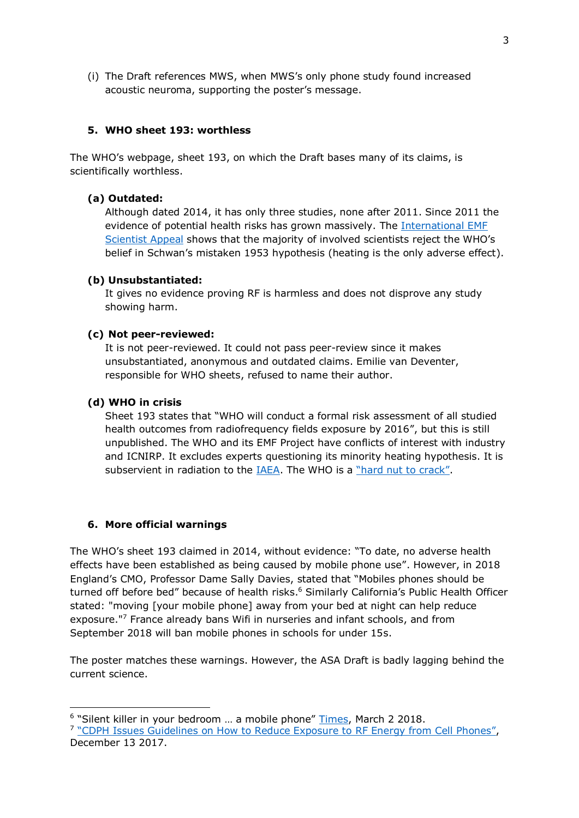(i) The Draft references MWS, when MWS's only phone study found increased acoustic neuroma, supporting the poster's message.

# **5. WHO sheet 193: worthless**

The WHO's webpage, sheet 193, on which the Draft bases many of its claims, is scientifically worthless.

## **(a) Outdated:**

Although dated 2014, it has only three studies, none after 2011. Since 2011 the evidence of potential health risks has grown massively. The [International EMF](https://www.emfscientist.org/)  [Scientist](https://www.emfscientist.org/) Appeal shows that the majority of involved scientists reject the WHO's belief in Schwan's mistaken 1953 hypothesis (heating is the only adverse effect).

## **(b) Unsubstantiated:**

It gives no evidence proving RF is harmless and does not disprove any study showing harm.

#### **(c) Not peer-reviewed:**

It is not peer-reviewed. It could not pass peer-review since it makes unsubstantiated, anonymous and outdated claims. Emilie van Deventer, responsible for WHO sheets, refused to name their author.

## **(d) WHO in crisis**

Sheet 193 states that "WHO will conduct a formal risk assessment of all studied health outcomes from radiofrequency fields exposure by 2016", but this is still unpublished. The WHO and its EMF Project have conflicts of interest with industry and ICNIRP. It excludes experts questioning its minority heating hypothesis. It is subservient in radiation to the [IAEA.](https://www.ippnw.de/commonFiles/pdfs/Atomenergie/Agreement_WHO-IAEA.pdf) The WHO is a ["hard nut to crack"](https://www.spandidos-publications.com/ijo/51/2/405#b14-ijo-51-02-0405).

#### **6. More official warnings**

-

The WHO's sheet 193 claimed in 2014, without evidence: "To date, no adverse health effects have been established as being caused by mobile phone use". However, in 2018 England's CMO, Professor Dame Sally Davies, stated that "Mobiles phones should be turned off before bed" because of health risks. <sup>6</sup> Similarly California's Public Health Officer stated: "moving [your mobile phone] away from your bed at night can help reduce exposure."<sup>7</sup> France already bans Wifi in nurseries and infant schools, and from September 2018 will ban mobile phones in schools for under 15s.

The poster matches these warnings. However, the ASA Draft is badly lagging behind the current science.

<sup>&</sup>lt;sup>6</sup> "Silent killer in your bedroom ... a mobile phone" [Times,](https://www.thetimes.co.uk/) March 2 2018.

<sup>&</sup>lt;sup>7</sup> ["CDPH Issues Guidelines on How to Reduce Exposure to](https://www.cdph.ca.gov/Programs/OPA/Pages/NR17-086.aspx) RF Energy from Cell Phones", December 13 2017.